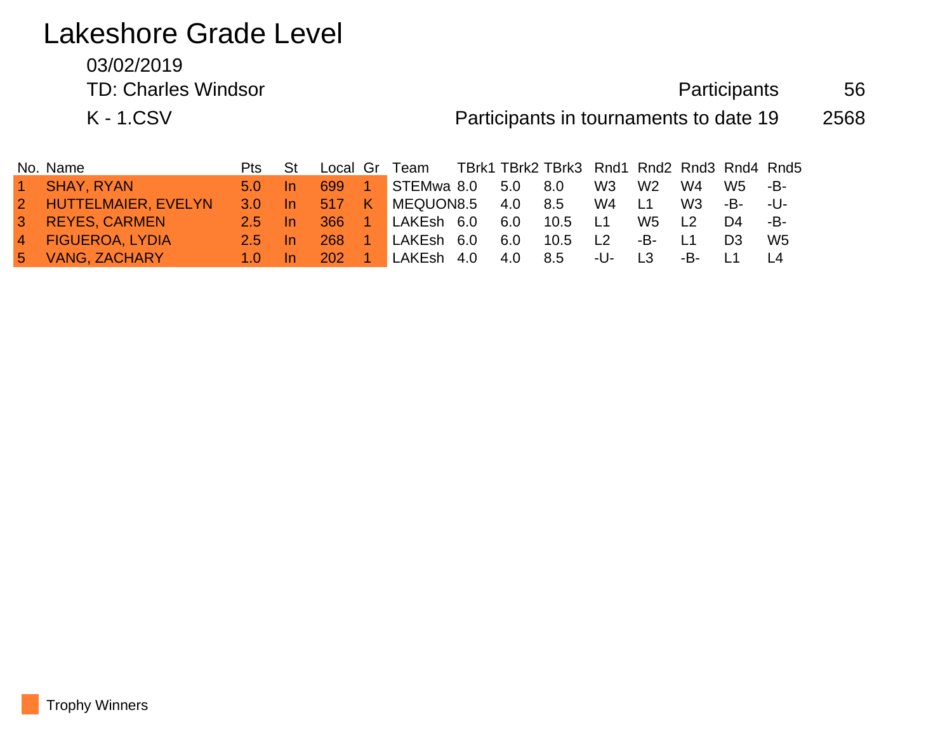# Lakeshore Grade Level

03/02/2019

TD: Charles Windsor **Fig. 2018 Participants** 56

K - 1.CSV **Participants in tournaments to date 19** 2568

| No. Name              | <b>Pts</b>              | – St |            |        | Local Gr Team TBrk1 TBrk2 TBrk3 Rnd1 Rnd2 Rnd3 Rnd4 Rnd5 |     |         |       |                |                |                |      |
|-----------------------|-------------------------|------|------------|--------|----------------------------------------------------------|-----|---------|-------|----------------|----------------|----------------|------|
| 1 SHAY, RYAN          | $5.0 \quad$ In          |      | 699 1      |        | STEMwa 8.0 5.0 8.0                                       |     |         | W3 W2 |                | W4             | W5 -B-         |      |
| 2 HUTTELMAIER, EVELYN |                         |      |            |        | 3.0 In 517 K MEQUON8.5 4.0 8.5                           |     |         | W4 L1 |                | W3             | -B- -U-        |      |
| 3 REYES, CARMEN       | $2.5$ In                |      |            |        | 366 1 LAKEsh 6.0                                         | 6.0 | 10.5 L1 |       | W5             | L <sub>2</sub> | D4             | --B- |
| 4 FIGUEROA, LYDIA     | $2.5$ In                |      | <b>268</b> | $\sim$ | LAKEsh 6.0                                               | 6.0 | 10.5 L2 |       | -B-            | <b>L1</b>      | D <sub>3</sub> | W5   |
| 5 VANG, ZACHARY       | $\blacktriangle$ 1.0 In |      | 202 1      |        | LAKEsh 4.0                                               | 4.0 | 8.5     | -U-   | L <sub>3</sub> | -B- 1          |                |      |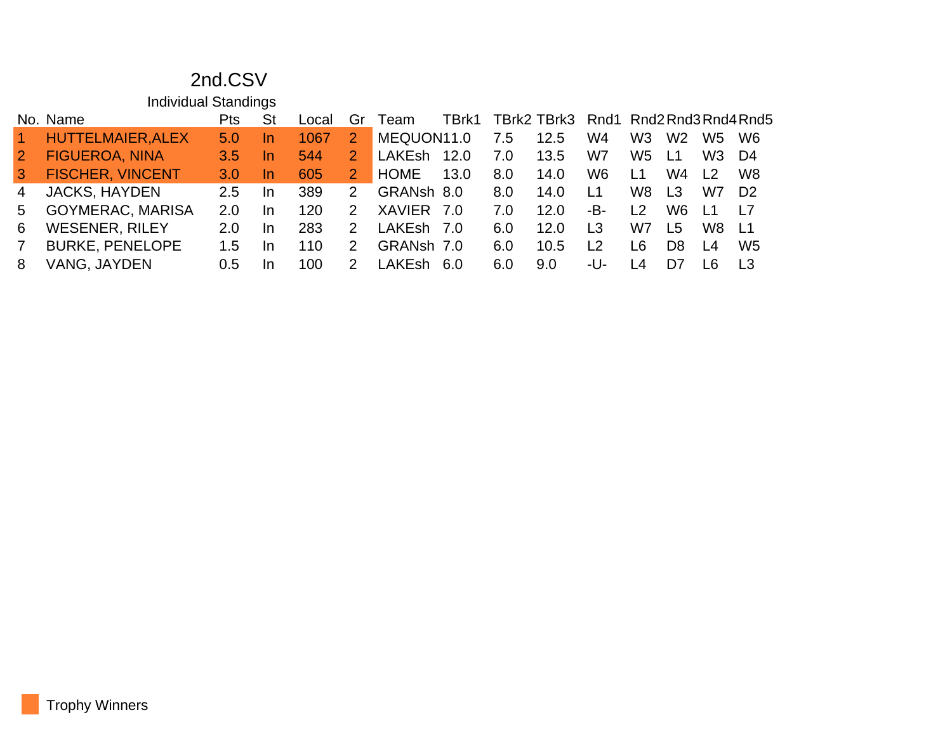## 2nd.CSV

|                | <b>Individual Standings</b> |                  |           |       |               |               |       |     |                                      |                |                |                |                |                |
|----------------|-----------------------------|------------------|-----------|-------|---------------|---------------|-------|-----|--------------------------------------|----------------|----------------|----------------|----------------|----------------|
|                | No. Name                    | Pts              | St        | _ocal | Gr            | Team          | TBrk1 |     | TBrk2 TBrk3 Rnd1 Rnd2 Rnd3 Rnd4 Rnd5 |                |                |                |                |                |
| $\vert$ 1      | HUTTELMAIER, ALEX           | 5.0 <sub>1</sub> | <u>In</u> | 1067  | 2             | MEQUON11.0    |       | 7.5 | 12.5                                 | W4             | W <sub>3</sub> | W <sub>2</sub> | W5             | W <sub>6</sub> |
| $\overline{2}$ | <b>FIGUEROA, NINA</b>       | 3.5              | <u>In</u> | 544   |               | <b>LAKEsh</b> | 12.0  | 7.0 | 13.5                                 | W7             | W <sub>5</sub> | L <sub>1</sub> | W3             | D4             |
| $\mathbf{3}$   | <b>FISCHER, VINCENT</b>     | 3.0              | In.       | 605   | 2             | <b>HOME</b>   | 13.0  | 8.0 | 14.0                                 | W <sub>6</sub> | L1             | W4             | L <sub>2</sub> | W <sub>8</sub> |
| 4              | <b>JACKS, HAYDEN</b>        | 2.5              | In.       | 389   | $\mathcal{P}$ | GRANsh 8.0    |       | 8.0 | 14.0                                 | L <sub>1</sub> | W8             | L <sub>3</sub> | W7             | D <sub>2</sub> |
| 5              | <b>GOYMERAC, MARISA</b>     | 2.0              | In.       | 120   | $\mathcal{P}$ | <b>XAVIER</b> | - 7.0 | 7.0 | 12.0                                 | -В-            | L <sub>2</sub> | W6             | <u> 11</u>     | <u>17</u>      |
| 6              | <b>WESENER, RILEY</b>       | 2.0              | In        | 283   | 2             | LAKEsh 7.0    |       | 6.0 | 12.0                                 | L3             | W7             | L5             | W8             | - L1           |
| $\overline{7}$ | <b>BURKE, PENELOPE</b>      | 1.5              | In.       | 110   | 2             | GRANsh 7.0    |       | 6.0 | 10.5                                 | L <sub>2</sub> | L <sub>6</sub> | D <sub>8</sub> | L4             | W <sub>5</sub> |
| 8              | VANG, JAYDEN                | 0.5              | In        | 100   | 2             | I AKFshi      | -6.0  | 6.0 | 9.0                                  | -U-            | -4             | D7             | 16             | L <sub>3</sub> |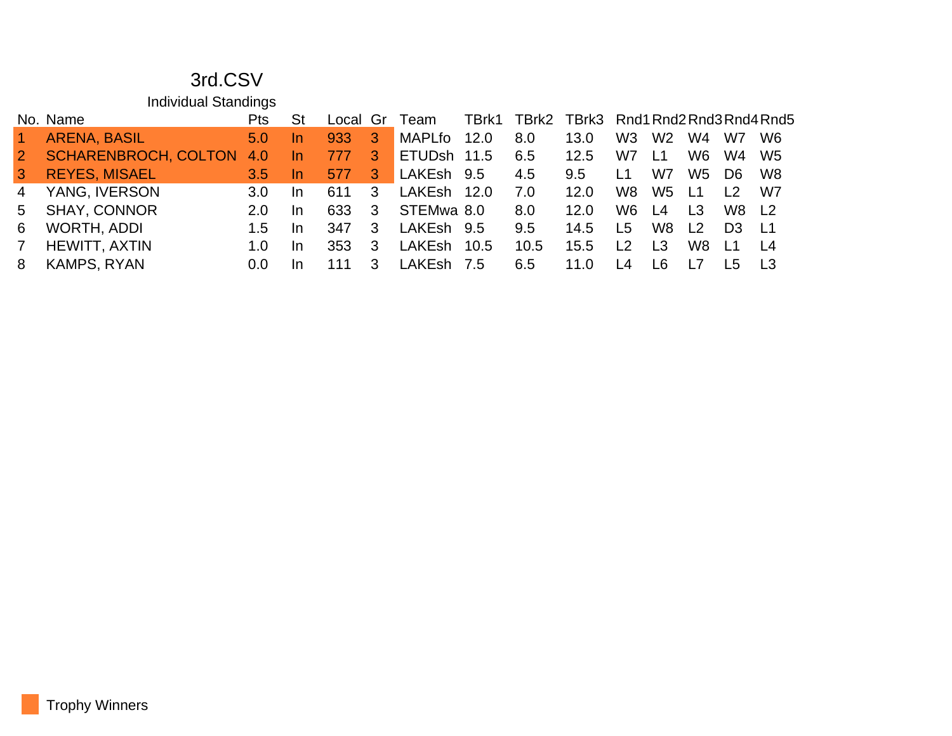#### 3rd.CSV

Individual Standings

|                      | Pts                                               |                             |     |              |        |               |                                                                                                           |      |                 |                |     |                                        |                                                              |
|----------------------|---------------------------------------------------|-----------------------------|-----|--------------|--------|---------------|-----------------------------------------------------------------------------------------------------------|------|-----------------|----------------|-----|----------------------------------------|--------------------------------------------------------------|
| <b>ARENA, BASIL</b>  | 5.0                                               | In.                         | 933 | 3            | MAPLfo |               | 8.0                                                                                                       | 13.0 | W <sub>3</sub>  | W <sub>2</sub> | W4  | W7                                     | <b>W6</b>                                                    |
|                      | 4.0                                               | In.                         | 777 | 3            |        |               | 6.5                                                                                                       | 12.5 | W7              | L1             | W6  | W4                                     | - W5                                                         |
|                      | $3.5^{\circ}$                                     | -In                         | 577 | $\mathbf{3}$ |        |               | 4.5                                                                                                       | 9.5  | L1              | W7             | W5  | D6.                                    | - W8                                                         |
|                      | 3.0                                               | In.                         | 611 | -3           |        |               | 7.O                                                                                                       | 12.0 | W8.             | W5             |     | $\overline{2}$                         | W7                                                           |
| <b>SHAY, CONNOR</b>  | 2.0                                               | In.                         | 633 | 3            |        |               | 8.0                                                                                                       | 12.0 | W6.             |                |     | W8 L2                                  |                                                              |
| WORTH, ADDI          | 1.5                                               | In.                         | 347 | 3            |        |               | 9.5                                                                                                       | 14.5 |                 |                |     |                                        | $\sqrt{11}$                                                  |
| <b>HEWITT, AXTIN</b> | 1.0                                               | In.                         | 353 | -3           |        |               | 10.5                                                                                                      | 15.5 | $\overline{2}$  | L <sub>3</sub> | W8. | $\overline{11}$                        | L4                                                           |
| <b>KAMPS, RYAN</b>   | $0.0^{\circ}$                                     | In.                         | 111 | 3            |        |               | 6.5                                                                                                       | 11.0 | $\overline{14}$ | 16.            |     | I 5                                    |                                                              |
|                      | No. Name<br><b>REYES, MISAEL</b><br>YANG, IVERSON | <b>SCHARENBROCH, COLTON</b> |     |              |        | Local Gr Team | 12.0<br>ETUDsh 11.5<br>LAKEsh 9.5<br>LAKEsh 12.0<br>STEMwa 8.0<br>LAKEsh 9.5<br>LAKEsh 10.5<br>LAKEsh 7.5 |      |                 | L5             | L4  | $\sqrt{11}$<br>L <sub>3</sub><br>W8 L2 | TBrk1 TBrk2 TBrk3 Rnd1 Rnd2 Rnd3 Rnd4 Rnd5<br>D <sub>3</sub> |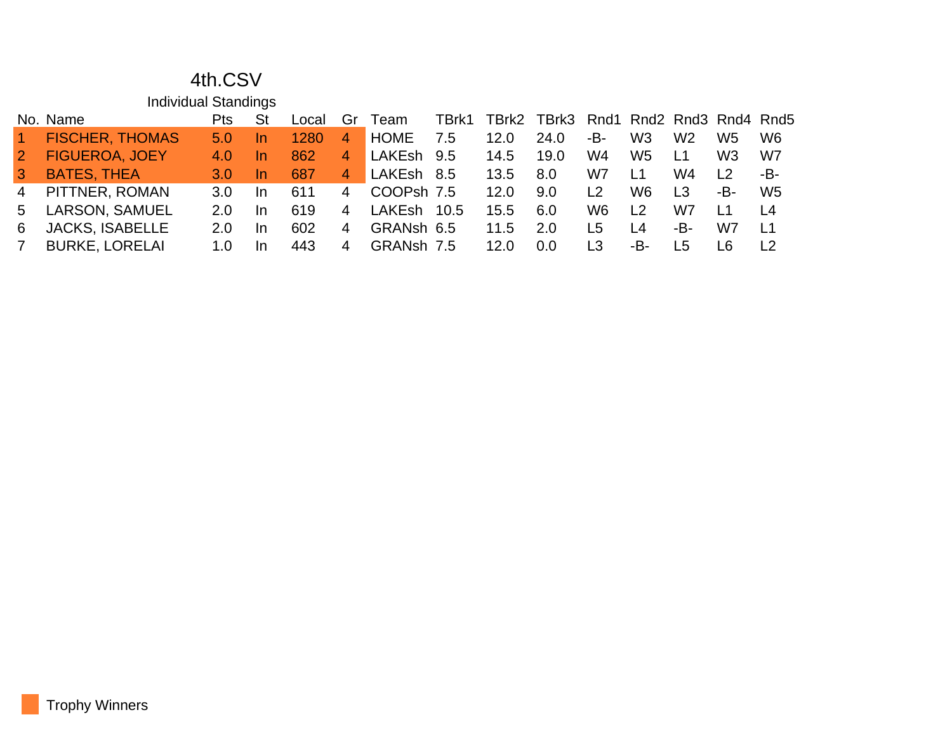#### 4th.CSV

|                 | <b>Individual Standings</b> |                  |           |       |                |             |       |       |                                |                                      |                |     |                                |                                |
|-----------------|-----------------------------|------------------|-----------|-------|----------------|-------------|-------|-------|--------------------------------|--------------------------------------|----------------|-----|--------------------------------|--------------------------------|
|                 | No. Name                    | Pts              | <b>St</b> | Local | Gr             | Team        | TBrk1 | TBrk2 | TBrk3 Rnd1 Rnd2 Rnd3 Rnd4 Rnd5 |                                      |                |     |                                |                                |
| $\vert$ 1       | <b>FISCHER, THOMAS</b>      | 5.0 <sub>1</sub> | In.       | 1280  | $\overline{4}$ | <b>HOME</b> | 7.5   | 12.0  | 24.0                           | -B-                                  | W <sub>3</sub> | W2  | W5                             | W <sub>6</sub>                 |
| $\overline{2}$  | <b>FIGUEROA, JOEY</b>       | 4.0              | In.       | 862   | 4              | LAKEsh 9.5  |       | 14.5  | 19.0                           | W4                                   | W <sub>5</sub> | L1  | W3                             | W7                             |
| $\vert 3 \vert$ | <b>BATES, THEA</b>          | 3.0              | In.       | 687   | 4              | LAKEsh 8.5  |       | 13.5  | 8.0                            | W7                                   | L1             | W4  | $\begin{array}{c} \end{array}$ | -B-                            |
| 4               | PITTNER, ROMAN              | 3.0 <sub>2</sub> | <b>In</b> | 611   | 4              | COOPsh 7.5  |       | 12.0  | 9.0                            | $\begin{array}{c} 1 & 2 \end{array}$ | W <sub>6</sub> | L3  | -В-                            | W <sub>5</sub>                 |
| 5.              | <b>LARSON, SAMUEL</b>       | $2.0^{\circ}$    | <b>In</b> | 619   | 4              | LAKEsh      | 10.5  | 15.5  | 6.0                            | W6                                   | l 2            | W7  | L1                             | L <sub>4</sub>                 |
| 6               | <b>JACKS, ISABELLE</b>      | $2.0^{\circ}$    | In.       | 602   | 4              | GRANsh 6.5  |       | 11.5  | 2.0                            | L5                                   | L <sub>4</sub> | -B- | W7                             | L1                             |
| <sup>7</sup>    | <b>BURKE, LORELAI</b>       | 1. $\Omega$      | <b>In</b> | 443   | 4              | GRANsh 7.5  |       | 12.0  | 0.0                            | L3                                   | -B-            | L5  | L6                             | $\begin{array}{c} \end{array}$ |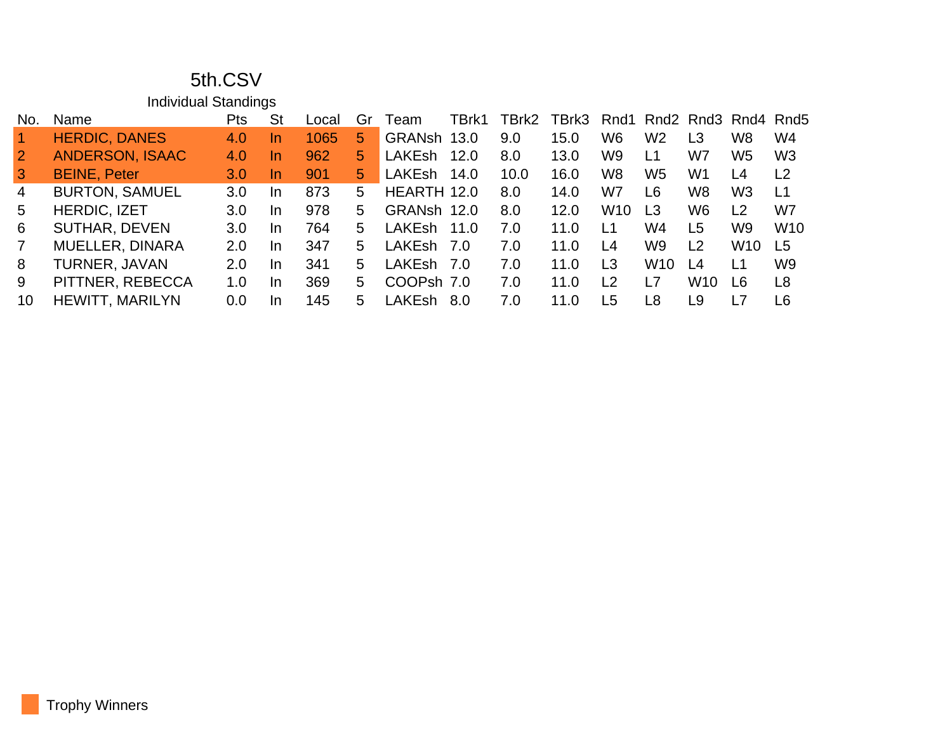#### 5th.CSV

|                | <b>Individual Standings</b> |     |           |       |    |               |       |       |       |                |                |                 |                     |                 |
|----------------|-----------------------------|-----|-----------|-------|----|---------------|-------|-------|-------|----------------|----------------|-----------------|---------------------|-----------------|
| No.            | Name                        | Pts | St        | Local | Gr | Team          | TBrk1 | TBrk2 | TBrk3 | Rnd1           |                |                 | Rnd2 Rnd3 Rnd4 Rnd5 |                 |
|                | <b>HERDIC, DANES</b>        | 4.0 | <u>In</u> | 1065  | 5  | GRANsh        | 13.0  | 9.0   | 15.0  | W <sub>6</sub> | W <sub>2</sub> | L3              | W <sub>8</sub>      | W4              |
| $\overline{2}$ | <b>ANDERSON, ISAAC</b>      | 4.0 | In        | 962   | 5  | <b>LAKEsh</b> | 12.0  | 8.0   | 13.0  | W <sub>9</sub> | L1             | W7              | W <sub>5</sub>      | W <sub>3</sub>  |
| 3 <sup>1</sup> | <b>BEINE, Peter</b>         | 3.0 | In        | 901   | 5  | <b>LAKEsh</b> | 14.0  | 10.0  | 16.0  | W <sub>8</sub> | W <sub>5</sub> | W <sub>1</sub>  | L4                  | L <sub>2</sub>  |
| $\overline{4}$ | <b>BURTON, SAMUEL</b>       | 3.0 | In        | 873   | 5  | HEARTH 12.0   |       | 8.0   | 14.0  | W7             | L <sub>6</sub> | W <sub>8</sub>  | W <sub>3</sub>      | L1              |
| 5              | <b>HERDIC, IZET</b>         | 3.0 | In        | 978   | 5. | GRANsh 12.0   |       | 8.0   | 12.0  | <b>W10</b>     | L <sub>3</sub> | W <sub>6</sub>  | L <sub>2</sub>      | W7              |
| 6              | <b>SUTHAR, DEVEN</b>        | 3.0 | In.       | 764   | 5  | <b>LAKEsh</b> | 11.0  | 7.0   | 11.0  | L1             | W4             | L <sub>5</sub>  | W <sub>9</sub>      | W <sub>10</sub> |
| $\overline{7}$ | <b>MUELLER, DINARA</b>      | 2.0 | In        | 347   | 5  | <b>LAKEsh</b> | 7.0   | 7.0   | 11.0  | L4             | W9             | L <sub>2</sub>  | W <sub>10</sub>     | L <sub>5</sub>  |
| 8              | TURNER, JAVAN               | 2.0 | In        | 341   | 5  | <b>LAKEsh</b> | 7.0   | 7.0   | 11.0  | L3             | <b>W10</b>     | L4              | L1                  | W <sub>9</sub>  |
| 9              | PITTNER, REBECCA            | 1.0 | In        | 369   | 5  | COOPsh 7.0    |       | 7.0   | 11.0  | L <sub>2</sub> | L7             | W <sub>10</sub> | L6                  | L <sub>8</sub>  |
| 10             | <b>HEWITT, MARILYN</b>      | 0.0 | In.       | 145   | 5  | LAKEsh        | 8.0   | 7.0   | 11.0  | L <sub>5</sub> | L <sub>8</sub> | L9              | $\overline{1}$      | L6              |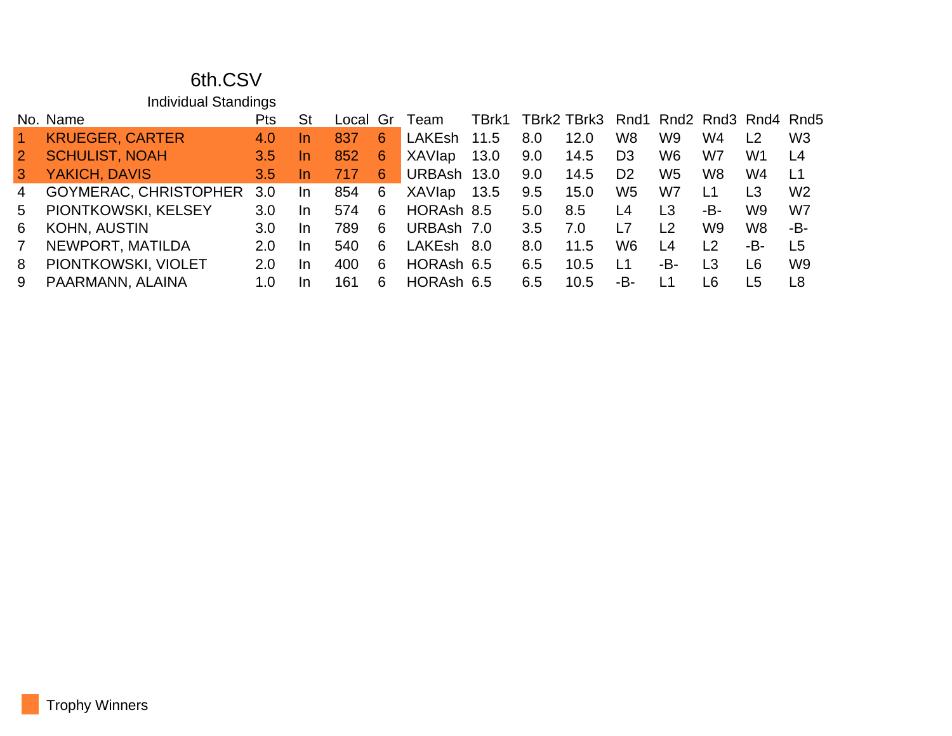#### 6th.CSV

Individual Standings

| No. Name                     | Pts           | St        |     | Gr | Team          | TBrk1 |                                                                                           |      |                |                |                |                |                                      |
|------------------------------|---------------|-----------|-----|----|---------------|-------|-------------------------------------------------------------------------------------------|------|----------------|----------------|----------------|----------------|--------------------------------------|
| <b>KRUEGER, CARTER</b>       | 4.0           |           | 837 | 6  | LAKEsh        | 11.5  | 8.0                                                                                       | 12.0 | W <sub>8</sub> | W9             | W4             | $\overline{2}$ | W <sub>3</sub>                       |
| <b>SCHULIST, NOAH</b>        | 3.5           | <u>In</u> | 852 | 6  | <b>XAVIap</b> | 13.0  | 9.0                                                                                       | 14.5 | D <sub>3</sub> | W6             | W7             | W <sub>1</sub> | L4                                   |
| YAKICH, DAVIS                | $3.5^{\circ}$ | In.       | 717 | 6  |               |       | 9.0                                                                                       | 14.5 | D <sub>2</sub> | W5             | W8             | W4             | L1                                   |
| <b>GOYMERAC, CHRISTOPHER</b> | 3.0           | In.       | 854 | 6  | XAVIap        |       | 9.5                                                                                       | 15.0 | W <sub>5</sub> | W7             | L1             | L <sub>3</sub> | W <sub>2</sub>                       |
| PIONTKOWSKI, KELSEY          | 3.0           | In.       | 574 | 6  |               |       | 5.0                                                                                       | 8.5  | L4             | L3             | -B-            | W9             | W7                                   |
| <b>KOHN, AUSTIN</b>          | 3.0           | In.       | 789 | 6  |               |       | 3.5                                                                                       | 7.0  | L7             | L <sub>2</sub> | W9             | W8             | -B-                                  |
| NEWPORT, MATILDA             | 2.0           | In.       | 540 | 6  |               |       | 8.0                                                                                       | 11.5 | W6             | L4             | L <sub>2</sub> | -B-            | L5                                   |
| PIONTKOWSKI, VIOLET          | 2.0           | In.       | 400 | 6  |               |       | 6.5                                                                                       | 10.5 | L1             | -B-            | L <sub>3</sub> | L6             | W <sub>9</sub>                       |
| PAARMANN, ALAINA             | 1.0           | <b>In</b> | 161 | 6  |               |       | 6.5                                                                                       | 10.5 | -B-            | L1             | ∟6             | L5             | L8                                   |
|                              |               |           |     |    | Local         |       | URBAsh 13.0<br>13.5<br>HORAsh 8.5<br>URBAsh 7.0<br>LAKEsh 8.0<br>HORAsh 6.5<br>HORAsh 6.5 |      |                |                |                |                | TBrk2 TBrk3 Rnd1 Rnd2 Rnd3 Rnd4 Rnd5 |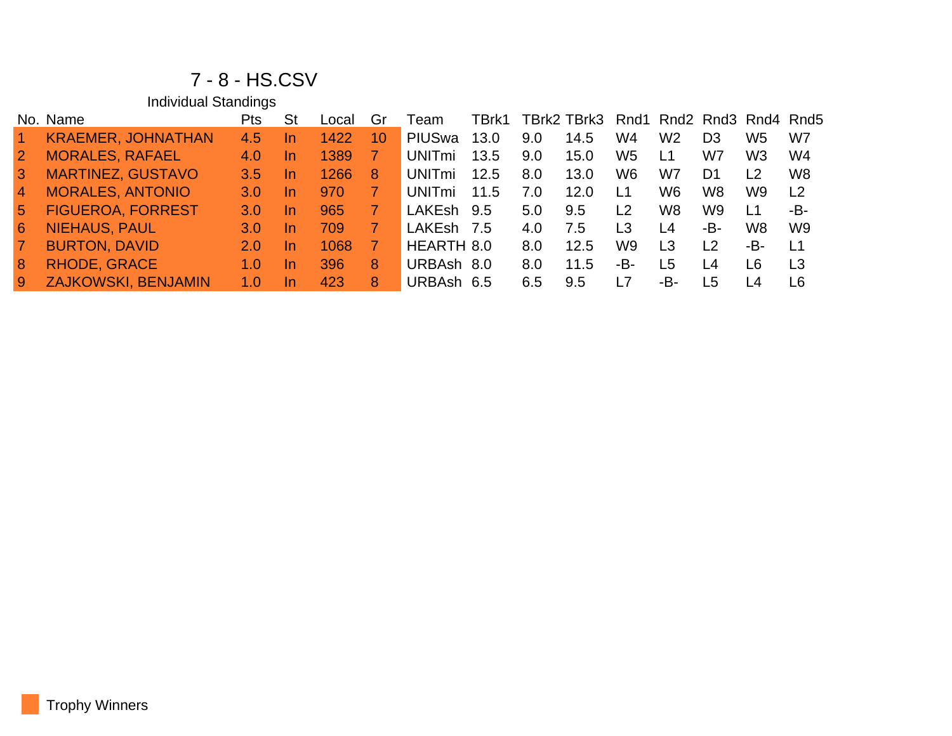#### 7 - 8 - HS.CSV

Individual Standings

|                 | No. Name                   | Pts | St        | Local | Gr | Team           | TBrk1 |     | TBrk2 TBrk3 Rnd1 Rnd2 Rnd3 Rnd4 Rnd5 |                |     |     |                |                |
|-----------------|----------------------------|-----|-----------|-------|----|----------------|-------|-----|--------------------------------------|----------------|-----|-----|----------------|----------------|
|                 | <b>KRAEMER, JOHNATHAN</b>  | 4.5 | <u>In</u> | 1422  | 10 | <b>PIUS</b> wa | 13.0  | 9.0 | 14.5                                 | W4             | W2  | D3  | W5             | W7             |
| $\vert 2 \vert$ | <b>MORALES, RAFAEL</b>     | 4.0 | <u>In</u> | 1389  |    | UNITmi         | 13.5  | 9.0 | 15.0                                 | W <sub>5</sub> | L1  | W7  | W <sub>3</sub> | W4             |
| 3               | <b>MARTINEZ, GUSTAVO</b>   | 3.5 | In.       | 1266  | 8  | UNITmi         | 12.5  | 8.0 | 13.0                                 | W <sub>6</sub> | W7  | D1  | L <sub>2</sub> | W <sub>8</sub> |
| $\overline{4}$  | <b>MORALES, ANTONIO</b>    | 3.0 | <u>In</u> | 970   |    | UNITmi         | 11.5  | 7.0 | 12.0                                 | L1             | W6  | W8  | W9             | L <sub>2</sub> |
| -5              | <b>FIGUEROA, FORREST</b>   | 3.0 | <u>In</u> | 965   |    | LAKEsh         | 9.5   | 5.0 | 9.5                                  | L <sub>2</sub> | W8  | W9  | L <sub>1</sub> | -B-            |
| -6              | <b>NIEHAUS, PAUL</b>       | 3.0 | <u>In</u> | 709   |    | LAKEsh 7.5     |       | 4.0 | 7.5                                  | L3             | L4  | -B- | W <sub>8</sub> | W <sub>9</sub> |
|                 | <b>BURTON, DAVID</b>       | 2.0 | <u>In</u> | 1068  |    | HEARTH 8.0     |       | 8.0 | 12.5                                 | W9             | L3  | L2  | -B-            | L1             |
| 8               | <b>RHODE, GRACE</b>        | 1.0 | <u>In</u> | 396   | 8  | URBAsh 8.0     |       | 8.0 | 11.5                                 | -В-            | L5  | L4  | L6             | L <sub>3</sub> |
| -9              | <b>ZAJKOWSKI, BENJAMIN</b> | 1.0 | In        | 423   | 8  | URBAsh 6.5     |       | 6.5 | 9.5                                  | L7             | -B- | L5  | I 4            | L6             |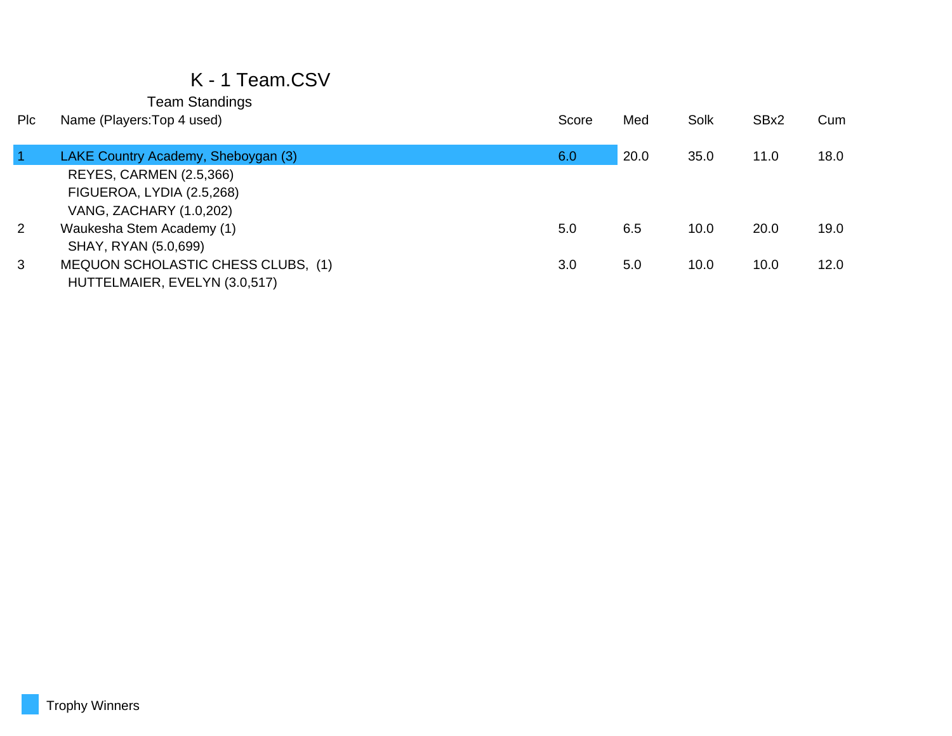## K - 1 Team.CSV

| <b>PIC</b> | Name (Players: Top 4 used)          | Score | Med  | Solk | SBx2 | Cum  |
|------------|-------------------------------------|-------|------|------|------|------|
|            |                                     |       |      |      |      |      |
|            | LAKE Country Academy, Sheboygan (3) | 6.0   | 20.0 | 35.0 | 11.0 | 18.0 |
|            | REYES, CARMEN (2.5,366)             |       |      |      |      |      |
|            | FIGUEROA, LYDIA (2.5,268)           |       |      |      |      |      |
|            | VANG, ZACHARY (1.0,202)             |       |      |      |      |      |
| 2          | Waukesha Stem Academy (1)           | 5.0   | 6.5  | 10.0 | 20.0 | 19.0 |
|            | SHAY, RYAN (5.0,699)                |       |      |      |      |      |
| 3          | MEQUON SCHOLASTIC CHESS CLUBS, (1)  | 3.0   | 5.0  | 10.0 | 10.0 | 12.0 |
|            | HUTTELMAIER, EVELYN (3.0,517)       |       |      |      |      |      |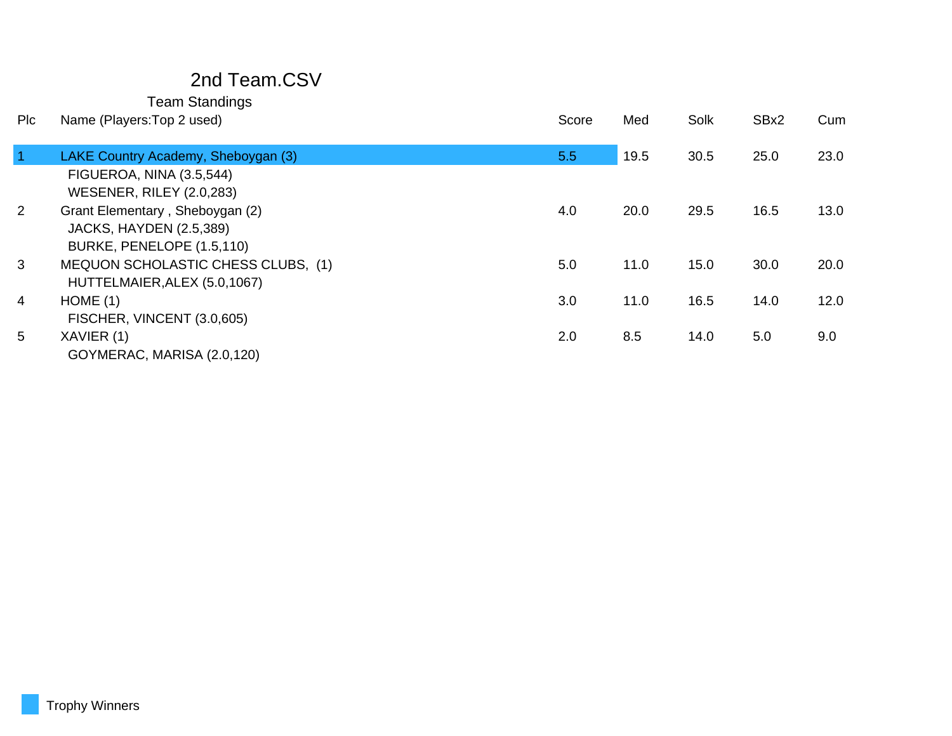## 2nd Team.CSV

| Plc            | Name (Players: Top 2 used)          | Score | Med  | Solk | SBx2 | Cum  |
|----------------|-------------------------------------|-------|------|------|------|------|
| $\vert$ 1      | LAKE Country Academy, Sheboygan (3) | 5.5   | 19.5 | 30.5 | 25.0 | 23.0 |
|                | FIGUEROA, NINA (3.5,544)            |       |      |      |      |      |
|                | <b>WESENER, RILEY (2.0,283)</b>     |       |      |      |      |      |
| $\overline{2}$ | Grant Elementary, Sheboygan (2)     | 4.0   | 20.0 | 29.5 | 16.5 | 13.0 |
|                | <b>JACKS, HAYDEN (2.5,389)</b>      |       |      |      |      |      |
|                | BURKE, PENELOPE (1.5,110)           |       |      |      |      |      |
| $\mathbf{3}$   | MEQUON SCHOLASTIC CHESS CLUBS, (1)  | 5.0   | 11.0 | 15.0 | 30.0 | 20.0 |
|                | HUTTELMAIER, ALEX (5.0, 1067)       |       |      |      |      |      |
| 4              | HOME(1)                             | 3.0   | 11.0 | 16.5 | 14.0 | 12.0 |
|                | FISCHER, VINCENT (3.0,605)          |       |      |      |      |      |
| 5              | XAVIER (1)                          | 2.0   | 8.5  | 14.0 | 5.0  | 9.0  |
|                | GOYMERAC, MARISA (2.0,120)          |       |      |      |      |      |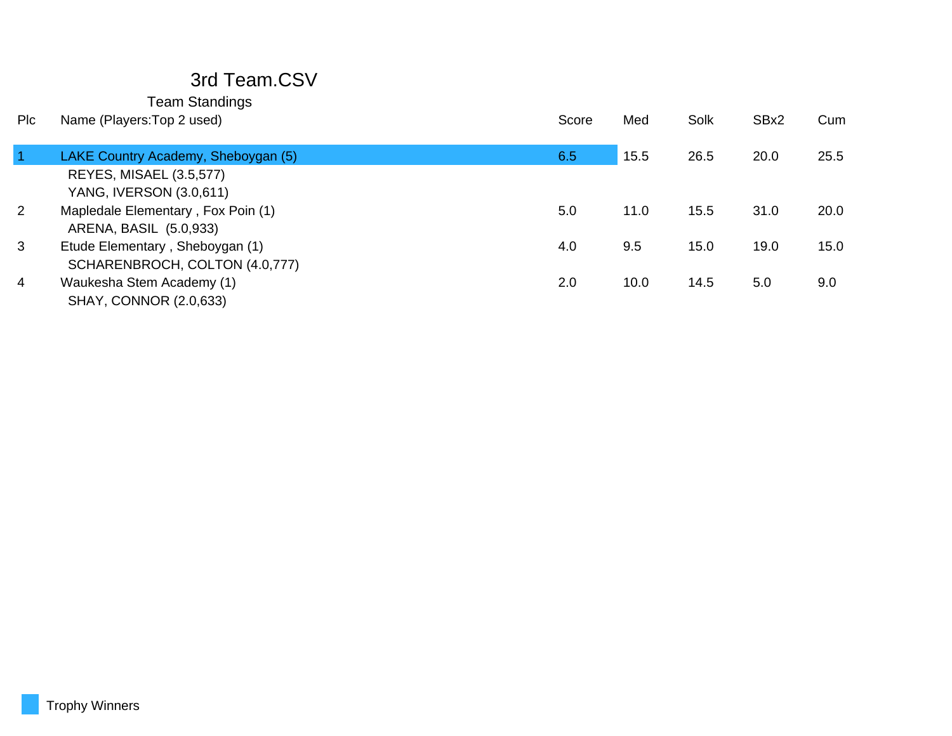# 3rd Team.CSV

| <b>PIC</b> | Name (Players: Top 2 used)          | Score | Med  | Solk | SBx2 | Cum  |
|------------|-------------------------------------|-------|------|------|------|------|
|            |                                     |       |      |      |      |      |
|            | LAKE Country Academy, Sheboygan (5) | 6.5   | 15.5 | 26.5 | 20.0 | 25.5 |
|            | <b>REYES, MISAEL (3.5,577)</b>      |       |      |      |      |      |
|            | YANG, IVERSON (3.0,611)             |       |      |      |      |      |
| 2          | Mapledale Elementary, Fox Poin (1)  | 5.0   | 11.0 | 15.5 | 31.0 | 20.0 |
|            | ARENA, BASIL (5.0,933)              |       |      |      |      |      |
| 3          | Etude Elementary, Sheboygan (1)     | 4.0   | 9.5  | 15.0 | 19.0 | 15.0 |
|            | SCHARENBROCH, COLTON (4.0,777)      |       |      |      |      |      |
| 4          | Waukesha Stem Academy (1)           | 2.0   | 10.0 | 14.5 | 5.0  | 9.0  |
|            | <b>SHAY, CONNOR (2.0,633)</b>       |       |      |      |      |      |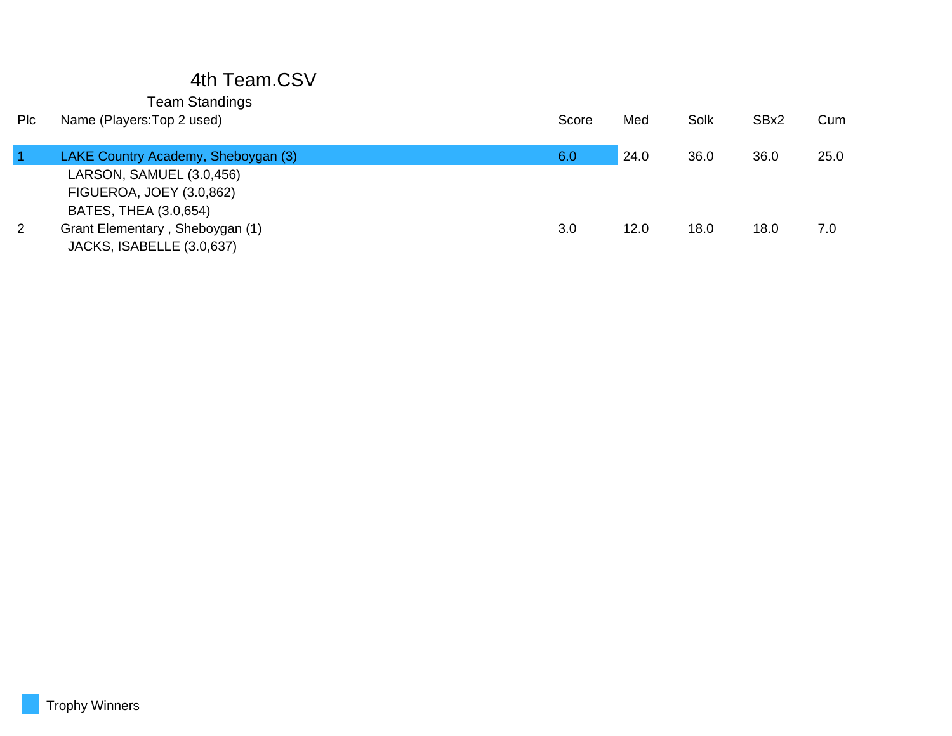# 4th Team.CSV

| Plc | Name (Players: Top 2 used)                                   | Score | Med  | Solk | SBx2 | Cum  |
|-----|--------------------------------------------------------------|-------|------|------|------|------|
|     | LAKE Country Academy, Sheboygan (3)                          | 6.0   | 24.0 | 36.0 | 36.0 | 25.0 |
|     | LARSON, SAMUEL (3.0,456)                                     |       |      |      |      |      |
|     | <b>FIGUEROA, JOEY (3.0,862)</b>                              |       |      |      |      |      |
|     | BATES, THEA (3.0,654)                                        |       |      |      |      |      |
| 2   | Grant Elementary, Sheboygan (1)<br>JACKS, ISABELLE (3.0,637) | 3.0   | 12.0 | 18.0 | 18.0 | 7.0  |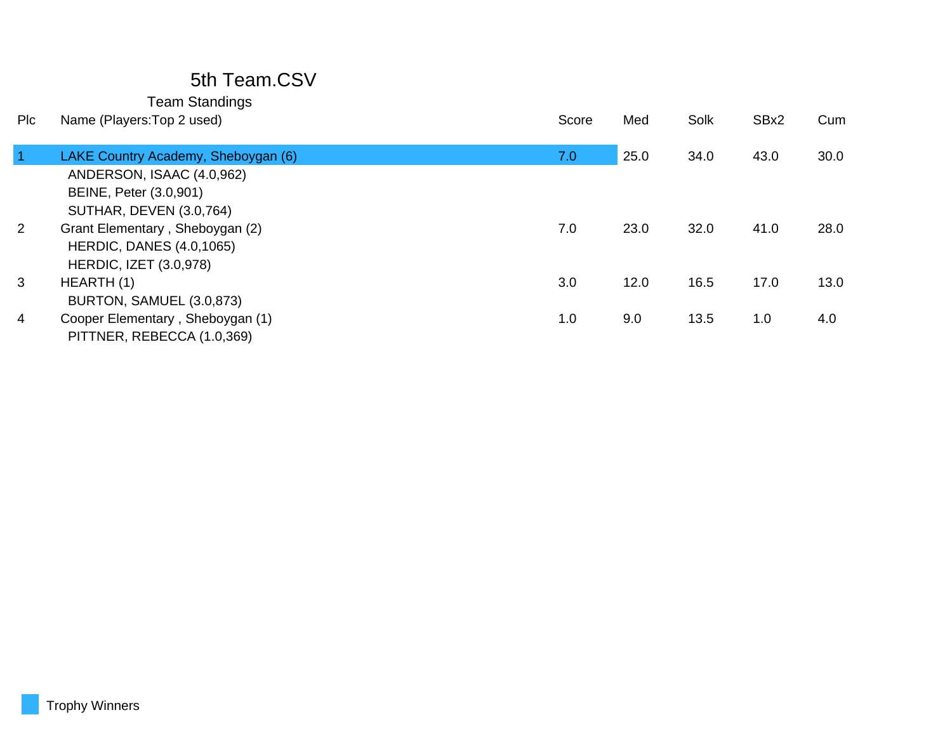## 5th Team.CSV

| <b>PIC</b>     | Name (Players: Top 2 used)          | Score | Med  | Solk | SBx2 | Cum  |
|----------------|-------------------------------------|-------|------|------|------|------|
| $\overline{1}$ | LAKE Country Academy, Sheboygan (6) | 7.0   | 25.0 | 34.0 | 43.0 | 30.0 |
|                | ANDERSON, ISAAC (4.0,962)           |       |      |      |      |      |
|                | BEINE, Peter (3.0,901)              |       |      |      |      |      |
|                | SUTHAR, DEVEN (3.0,764)             |       |      |      |      |      |
| $\overline{2}$ | Grant Elementary, Sheboygan (2)     | 7.0   | 23.0 | 32.0 | 41.0 | 28.0 |
|                | <b>HERDIC, DANES (4.0,1065)</b>     |       |      |      |      |      |
|                | <b>HERDIC, IZET (3.0,978)</b>       |       |      |      |      |      |
| 3              | HEARTH (1)                          | 3.0   | 12.0 | 16.5 | 17.0 | 13.0 |
|                | BURTON, SAMUEL (3.0,873)            |       |      |      |      |      |
| 4              | Cooper Elementary, Sheboygan (1)    | 1.0   | 9.0  | 13.5 | 1.0  | 4.0  |
|                | PITTNER, REBECCA (1.0,369)          |       |      |      |      |      |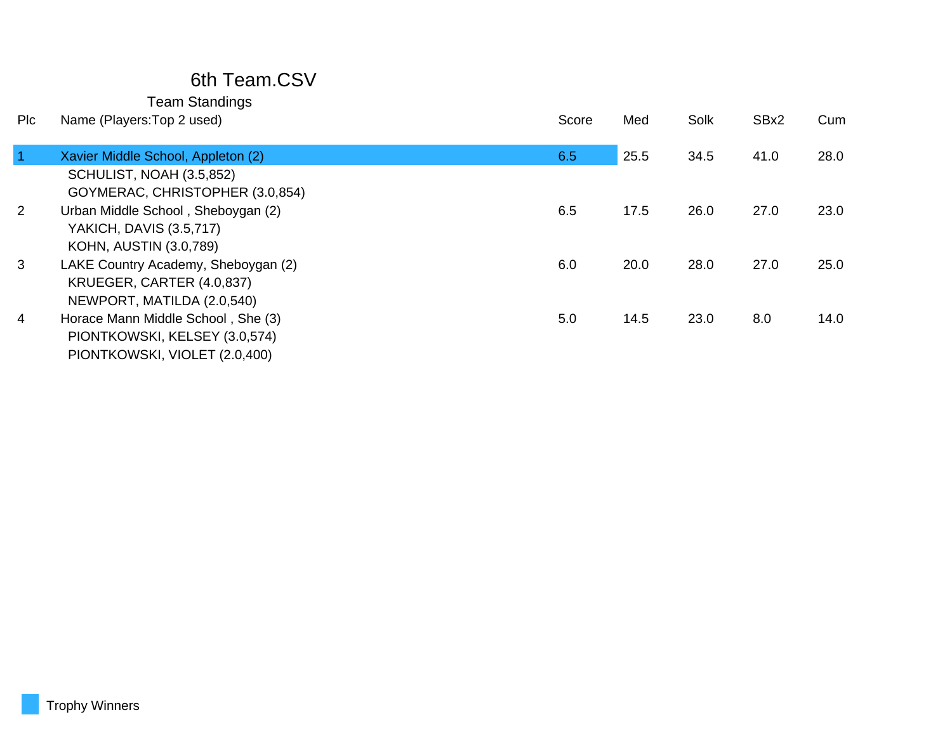## 6th Team.CSV

| Plc            | Name (Players: Top 2 used)                                                                           | Score | Med  | Solk | SBx2 | Cum  |
|----------------|------------------------------------------------------------------------------------------------------|-------|------|------|------|------|
| $\vert$ 1      | Xavier Middle School, Appleton (2)                                                                   | 6.5   | 25.5 | 34.5 | 41.0 | 28.0 |
|                | SCHULIST, NOAH (3.5,852)<br>GOYMERAC, CHRISTOPHER (3.0,854)                                          |       |      |      |      |      |
| 2              | Urban Middle School, Sheboygan (2)<br><b>YAKICH, DAVIS (3.5,717)</b><br>KOHN, AUSTIN (3.0,789)       | 6.5   | 17.5 | 26.0 | 27.0 | 23.0 |
| 3              | LAKE Country Academy, Sheboygan (2)<br>KRUEGER, CARTER (4.0,837)<br>NEWPORT, MATILDA (2.0,540)       | 6.0   | 20.0 | 28.0 | 27.0 | 25.0 |
| $\overline{4}$ | Horace Mann Middle School, She (3)<br>PIONTKOWSKI, KELSEY (3.0,574)<br>PIONTKOWSKI, VIOLET (2.0,400) | 5.0   | 14.5 | 23.0 | 8.0  | 14.0 |